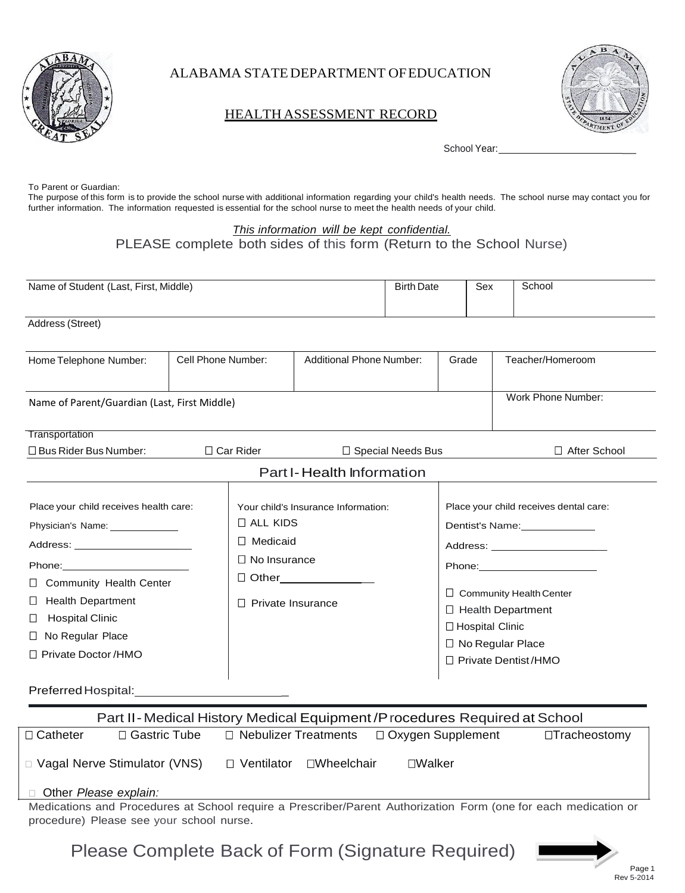

ALABAMA STATEDEPARTMENT OFEDUCATION

## HEALTH ASSESSMENT RECORD



School Year:

To Parent or Guardian:

The purpose of this form is to provide the school nurse with additional information regarding your child's health needs. The school nurse may contact you for further information. The information requested is essential for the school nurse to meet the health needs of your child.

## *This information will be kept confidential.* PLEASE complete both sides of this form (Return to the School Nurse)

| Name of Student (Last, First, Middle)                                                                                                                                                                                                                                                                                                                                                                                                                               |                    | <b>Birth Date</b>                                                         |                                                                                  | Sex | School                                                                                                                                                                                                                                                                                                                                           |  |                    |
|---------------------------------------------------------------------------------------------------------------------------------------------------------------------------------------------------------------------------------------------------------------------------------------------------------------------------------------------------------------------------------------------------------------------------------------------------------------------|--------------------|---------------------------------------------------------------------------|----------------------------------------------------------------------------------|-----|--------------------------------------------------------------------------------------------------------------------------------------------------------------------------------------------------------------------------------------------------------------------------------------------------------------------------------------------------|--|--------------------|
| Address (Street)                                                                                                                                                                                                                                                                                                                                                                                                                                                    |                    |                                                                           |                                                                                  |     |                                                                                                                                                                                                                                                                                                                                                  |  |                    |
| Home Telephone Number:                                                                                                                                                                                                                                                                                                                                                                                                                                              | Cell Phone Number: |                                                                           | <b>Additional Phone Number:</b>                                                  |     | Grade                                                                                                                                                                                                                                                                                                                                            |  | Teacher/Homeroom   |
| Name of Parent/Guardian (Last, First Middle)                                                                                                                                                                                                                                                                                                                                                                                                                        |                    |                                                                           |                                                                                  |     |                                                                                                                                                                                                                                                                                                                                                  |  | Work Phone Number: |
| Transportation                                                                                                                                                                                                                                                                                                                                                                                                                                                      |                    |                                                                           |                                                                                  |     |                                                                                                                                                                                                                                                                                                                                                  |  |                    |
| □ Bus Rider Bus Number:                                                                                                                                                                                                                                                                                                                                                                                                                                             | $\Box$ Car Rider   |                                                                           | $\Box$ Special Needs Bus                                                         |     |                                                                                                                                                                                                                                                                                                                                                  |  | □ After School     |
|                                                                                                                                                                                                                                                                                                                                                                                                                                                                     |                    |                                                                           | Part I-Health Information                                                        |     |                                                                                                                                                                                                                                                                                                                                                  |  |                    |
| Place your child receives health care:<br>Physician's Name: ______________<br>Phone: The Contract of the Contract of the Contract of the Contract of the Contract of the Contract of the Contract of the Contract of the Contract of the Contract of the Contract of the Contract of the Contract of the Con<br>Community Health Center<br>$\Box$<br><b>Health Department</b><br>ப<br><b>Hospital Clinic</b><br>□<br>No Regular Place<br>□<br>□ Private Doctor /HMO |                    | $\Box$ ALL KIDS<br>Medicaid<br>$\Box$<br>$\square$ No Insurance<br>$\Box$ | Your child's Insurance Information:<br>□ Other_____________<br>Private Insurance |     | Place your child receives dental care:<br>Dentist's Name: 2000<br>Address: No. 1996. Address: No. 1997. In the Second Library and Second Library and Library and Library and Lib<br>Phone: ________________________<br>$\Box$ Community Health Center<br>□ Health Department<br>□ Hospital Clinic<br>□ No Regular Place<br>□ Private Dentist/HMO |  |                    |
| Preferred Hospital:                                                                                                                                                                                                                                                                                                                                                                                                                                                 |                    |                                                                           |                                                                                  |     |                                                                                                                                                                                                                                                                                                                                                  |  |                    |

| Part II-Medical History Medical Equipment / Procedures Required at School                                       |                |                                                      |         |                     |  |
|-----------------------------------------------------------------------------------------------------------------|----------------|------------------------------------------------------|---------|---------------------|--|
| □ Catheter                                                                                                      | □ Gastric Tube | $\Box$ Nebulizer Treatments $\Box$ Oxygen Supplement |         | $\Box$ Tracheostomy |  |
| □ Vagal Nerve Stimulator (VNS)                                                                                  |                | □ Ventilator<br>□Wheelchair                          | □Walker |                     |  |
| □ Other Please explain:                                                                                         |                |                                                      |         |                     |  |
| Medications and Procedures at School require a Prescriber/Parent Authorization Form (and for each medication or |                |                                                      |         |                     |  |

Medications and Procedures at School require a Prescriber/Parent Authorization Form (one for each medication or procedure) Please see your school nurse.

Please Complete Back of Form (Signature Required)